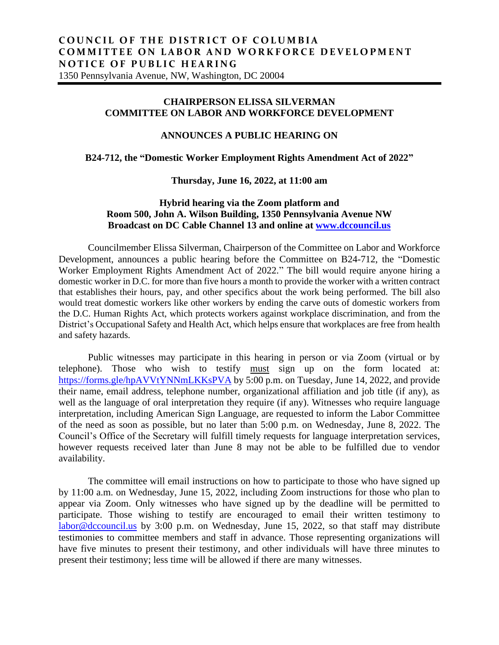## **CHAIRPERSON ELISSA SILVERMAN COMMITTEE ON LABOR AND WORKFORCE DEVELOPMENT**

# **ANNOUNCES A PUBLIC HEARING ON**

### **B24-712, the "Domestic Worker Employment Rights Amendment Act of 2022"**

#### **Thursday, June 16, 2022, at 11:00 am**

## **Hybrid hearing via the Zoom platform and Room 500, John A. Wilson Building, 1350 Pennsylvania Avenue NW Broadcast on DC Cable Channel 13 and online at [www.dccouncil.us](http://www.dccouncil.us/)**

Councilmember Elissa Silverman, Chairperson of the Committee on Labor and Workforce Development, announces a public hearing before the Committee on B24-712, the "Domestic Worker Employment Rights Amendment Act of 2022." The bill would require anyone hiring a domestic worker in D.C. for more than five hours a month to provide the worker with a written contract that establishes their hours, pay, and other specifics about the work being performed. The bill also would treat domestic workers like other workers by ending the carve outs of domestic workers from the D.C. Human Rights Act, which protects workers against workplace discrimination, and from the District's Occupational Safety and Health Act, which helps ensure that workplaces are free from health and safety hazards.

Public witnesses may participate in this hearing in person or via Zoom (virtual or by telephone). Those who wish to testify must sign up on the form located at: <https://forms.gle/hpAVVtYNNmLKKsPVA> by 5:00 p.m. on Tuesday, June 14, 2022, and provide their name, email address, telephone number, organizational affiliation and job title (if any), as well as the language of oral interpretation they require (if any). Witnesses who require language interpretation, including American Sign Language, are requested to inform the Labor Committee of the need as soon as possible, but no later than 5:00 p.m. on Wednesday, June 8, 2022. The Council's Office of the Secretary will fulfill timely requests for language interpretation services, however requests received later than June 8 may not be able to be fulfilled due to vendor availability.

The committee will email instructions on how to participate to those who have signed up by 11:00 a.m. on Wednesday, June 15, 2022, including Zoom instructions for those who plan to appear via Zoom. Only witnesses who have signed up by the deadline will be permitted to participate. Those wishing to testify are encouraged to email their written testimony to [labor@dccouncil.us](mailto:labor@dccouncil.us) by 3:00 p.m. on Wednesday, June 15, 2022, so that staff may distribute testimonies to committee members and staff in advance. Those representing organizations will have five minutes to present their testimony, and other individuals will have three minutes to present their testimony; less time will be allowed if there are many witnesses.